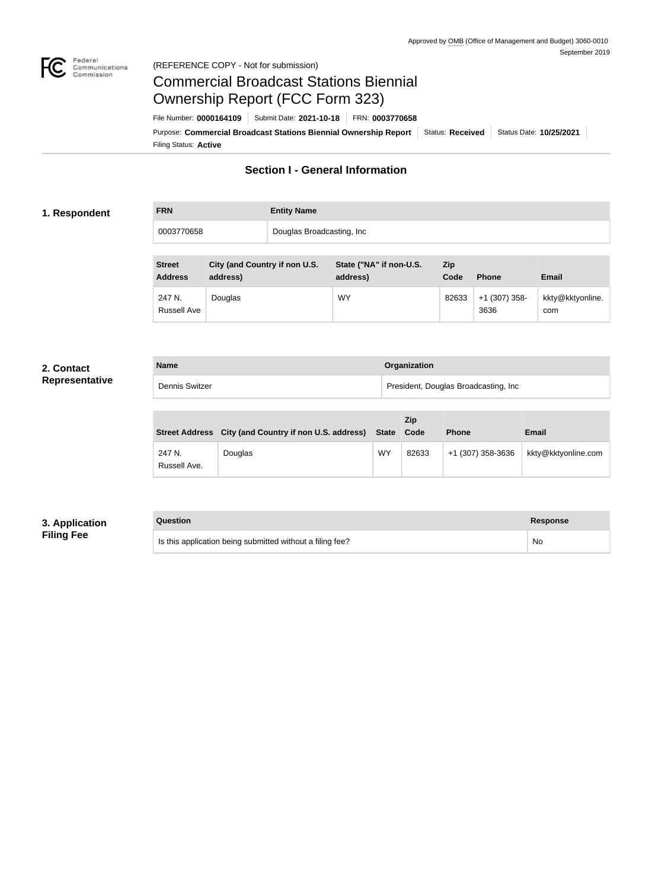

#### Federal<br>Communications<br>Commission (REFERENCE COPY - Not for submission)

# Commercial Broadcast Stations Biennial Ownership Report (FCC Form 323)

Filing Status: **Active** Purpose: Commercial Broadcast Stations Biennial Ownership Report Status: Received Status Date: 10/25/2021 File Number: **0000164109** Submit Date: **2021-10-18** FRN: **0003770658**

# **Section I - General Information**

#### **1. Respondent**

| <b>FRN</b> | <b>Entity Name</b>        |
|------------|---------------------------|
| 0003770658 | Douglas Broadcasting, Inc |

| <b>Street</b><br><b>Address</b> | City (and Country if non U.S.<br>address) | State ("NA" if non-U.S.<br>address) | <b>Zip</b><br>Code | <b>Phone</b>            | <b>Email</b>            |
|---------------------------------|-------------------------------------------|-------------------------------------|--------------------|-------------------------|-------------------------|
| 247 N.<br><b>Russell Ave</b>    | Douglas                                   | WY                                  | 82633              | $+1$ (307) 358-<br>3636 | kkty@kktyonline.<br>com |

#### **2. Contact Representative**

| <b>Name</b>    | Organization                         |  |  |
|----------------|--------------------------------------|--|--|
| Dennis Switzer | President, Douglas Broadcasting, Inc |  |  |

|                        | Street Address City (and Country if non U.S. address) State Code |    | <b>Zip</b> | <b>Phone</b>      | <b>Email</b>        |
|------------------------|------------------------------------------------------------------|----|------------|-------------------|---------------------|
| 247 N.<br>Russell Ave. | Douglas                                                          | WY | 82633      | +1 (307) 358-3636 | kkty@kktyonline.com |

## **3. Application Filing Fee**

| Question                                                  | Response |
|-----------------------------------------------------------|----------|
| Is this application being submitted without a filing fee? | No       |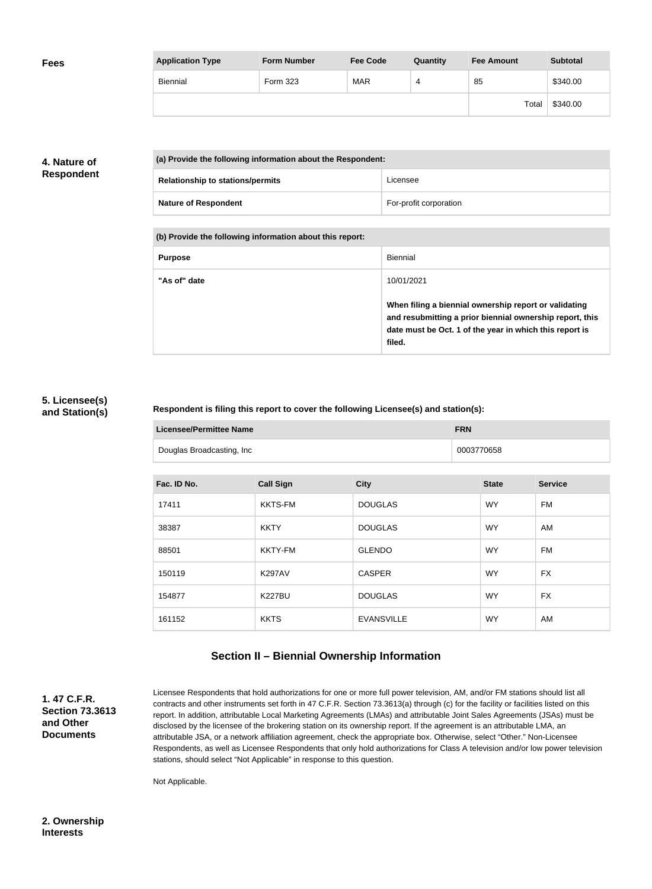| <b>Fees</b> | <b>Application Type</b> | <b>Form Number</b> | <b>Fee Code</b> | Quantity | <b>Fee Amount</b> | <b>Subtotal</b> |
|-------------|-------------------------|--------------------|-----------------|----------|-------------------|-----------------|
|             | Biennial                | Form 323           | <b>MAR</b>      | 4        | 85                | \$340.00        |
|             |                         |                    |                 |          | Total             | \$340.00        |

## **4. Nature of Respondent**

| (a) Provide the following information about the Respondent: |                        |  |
|-------------------------------------------------------------|------------------------|--|
| <b>Relationship to stations/permits</b>                     | Licensee               |  |
| <b>Nature of Respondent</b>                                 | For-profit corporation |  |

**(b) Provide the following information about this report:**

| <b>Purpose</b> | Biennial                                                                                                                                                                               |
|----------------|----------------------------------------------------------------------------------------------------------------------------------------------------------------------------------------|
| "As of" date   | 10/01/2021                                                                                                                                                                             |
|                | When filing a biennial ownership report or validating<br>and resubmitting a prior biennial ownership report, this<br>date must be Oct. 1 of the year in which this report is<br>filed. |

#### **5. Licensee(s) and Station(s)**

#### **Respondent is filing this report to cover the following Licensee(s) and station(s):**

| <b>Licensee/Permittee Name</b> | <b>FRN</b> |
|--------------------------------|------------|
| Douglas Broadcasting, Inc      | 0003770658 |

| Fac. ID No. | <b>Call Sign</b> | <b>City</b>       | <b>State</b> | <b>Service</b> |
|-------------|------------------|-------------------|--------------|----------------|
| 17411       | <b>KKTS-FM</b>   | <b>DOUGLAS</b>    | <b>WY</b>    | FM             |
| 38387       | <b>KKTY</b>      | <b>DOUGLAS</b>    | <b>WY</b>    | AM             |
| 88501       | <b>KKTY-FM</b>   | <b>GLENDO</b>     | <b>WY</b>    | FM             |
| 150119      | <b>K297AV</b>    | <b>CASPER</b>     | <b>WY</b>    | FX             |
| 154877      | <b>K227BU</b>    | <b>DOUGLAS</b>    | <b>WY</b>    | <b>FX</b>      |
| 161152      | <b>KKTS</b>      | <b>EVANSVILLE</b> | <b>WY</b>    | AM             |

# **Section II – Biennial Ownership Information**

**1. 47 C.F.R. Section 73.3613 and Other Documents**

Licensee Respondents that hold authorizations for one or more full power television, AM, and/or FM stations should list all contracts and other instruments set forth in 47 C.F.R. Section 73.3613(a) through (c) for the facility or facilities listed on this report. In addition, attributable Local Marketing Agreements (LMAs) and attributable Joint Sales Agreements (JSAs) must be disclosed by the licensee of the brokering station on its ownership report. If the agreement is an attributable LMA, an attributable JSA, or a network affiliation agreement, check the appropriate box. Otherwise, select "Other." Non-Licensee Respondents, as well as Licensee Respondents that only hold authorizations for Class A television and/or low power television stations, should select "Not Applicable" in response to this question.

Not Applicable.

**2. Ownership Interests**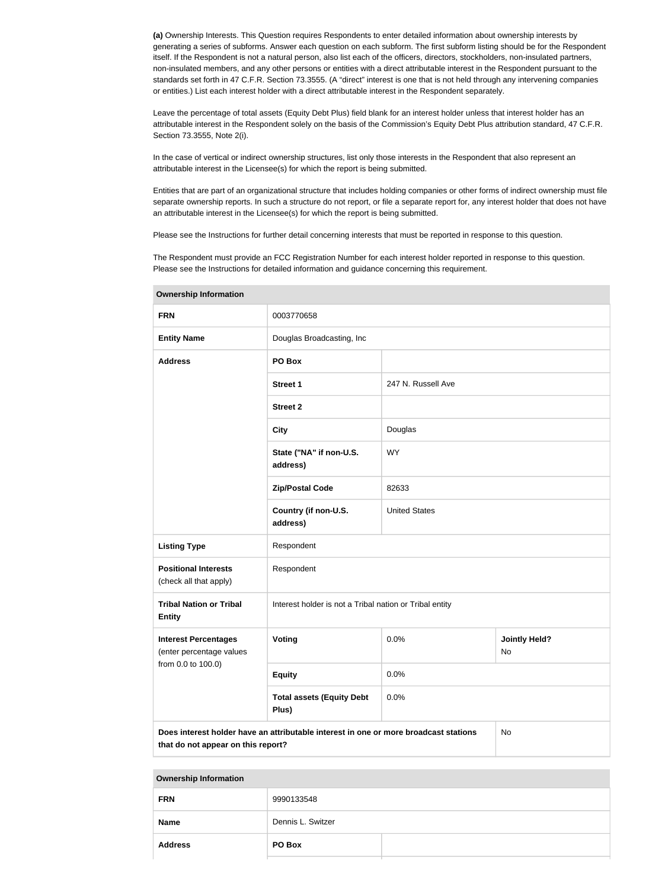**(a)** Ownership Interests. This Question requires Respondents to enter detailed information about ownership interests by generating a series of subforms. Answer each question on each subform. The first subform listing should be for the Respondent itself. If the Respondent is not a natural person, also list each of the officers, directors, stockholders, non-insulated partners, non-insulated members, and any other persons or entities with a direct attributable interest in the Respondent pursuant to the standards set forth in 47 C.F.R. Section 73.3555. (A "direct" interest is one that is not held through any intervening companies or entities.) List each interest holder with a direct attributable interest in the Respondent separately.

Leave the percentage of total assets (Equity Debt Plus) field blank for an interest holder unless that interest holder has an attributable interest in the Respondent solely on the basis of the Commission's Equity Debt Plus attribution standard, 47 C.F.R. Section 73.3555, Note 2(i).

In the case of vertical or indirect ownership structures, list only those interests in the Respondent that also represent an attributable interest in the Licensee(s) for which the report is being submitted.

Entities that are part of an organizational structure that includes holding companies or other forms of indirect ownership must file separate ownership reports. In such a structure do not report, or file a separate report for, any interest holder that does not have an attributable interest in the Licensee(s) for which the report is being submitted.

Please see the Instructions for further detail concerning interests that must be reported in response to this question.

The Respondent must provide an FCC Registration Number for each interest holder reported in response to this question. Please see the Instructions for detailed information and guidance concerning this requirement.

| ווטוומונוטווווטוווונגוסוד                               |                                                                                                                                  |                      |                            |  |
|---------------------------------------------------------|----------------------------------------------------------------------------------------------------------------------------------|----------------------|----------------------------|--|
| <b>FRN</b>                                              | 0003770658                                                                                                                       |                      |                            |  |
| <b>Entity Name</b>                                      | Douglas Broadcasting, Inc                                                                                                        |                      |                            |  |
| <b>Address</b>                                          | PO Box                                                                                                                           |                      |                            |  |
|                                                         | <b>Street 1</b>                                                                                                                  | 247 N. Russell Ave   |                            |  |
|                                                         | <b>Street 2</b>                                                                                                                  |                      |                            |  |
|                                                         | <b>City</b>                                                                                                                      | Douglas              |                            |  |
|                                                         | State ("NA" if non-U.S.<br>address)                                                                                              | <b>WY</b>            |                            |  |
|                                                         | <b>Zip/Postal Code</b>                                                                                                           | 82633                |                            |  |
|                                                         | Country (if non-U.S.<br>address)                                                                                                 | <b>United States</b> |                            |  |
| <b>Listing Type</b>                                     | Respondent                                                                                                                       |                      |                            |  |
| <b>Positional Interests</b><br>(check all that apply)   | Respondent                                                                                                                       |                      |                            |  |
| <b>Tribal Nation or Tribal</b><br><b>Entity</b>         | Interest holder is not a Tribal nation or Tribal entity                                                                          |                      |                            |  |
| <b>Interest Percentages</b><br>(enter percentage values | Voting                                                                                                                           | 0.0%                 | <b>Jointly Held?</b><br>No |  |
| from 0.0 to 100.0)                                      | <b>Equity</b>                                                                                                                    | 0.0%                 |                            |  |
|                                                         | <b>Total assets (Equity Debt</b><br>Plus)                                                                                        | 0.0%                 |                            |  |
|                                                         | Does interest holder have an attributable interest in one or more broadcast stations<br>No<br>that do not appear on this report? |                      |                            |  |

**Ownership Information**

| <b>FRN</b>     | 9990133548        |  |
|----------------|-------------------|--|
| <b>Name</b>    | Dennis L. Switzer |  |
| <b>Address</b> | PO Box            |  |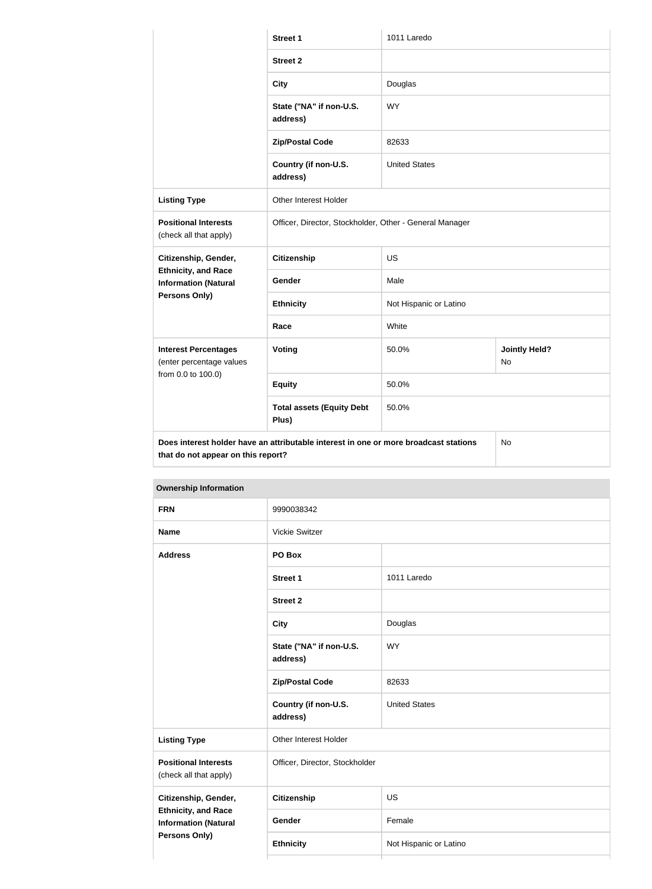|                                                                                                                                   | <b>Street 1</b>                                         | 1011 Laredo            |                            |
|-----------------------------------------------------------------------------------------------------------------------------------|---------------------------------------------------------|------------------------|----------------------------|
|                                                                                                                                   | <b>Street 2</b>                                         |                        |                            |
|                                                                                                                                   | <b>City</b>                                             | Douglas                |                            |
|                                                                                                                                   | State ("NA" if non-U.S.<br>address)                     | <b>WY</b>              |                            |
|                                                                                                                                   | <b>Zip/Postal Code</b>                                  | 82633                  |                            |
|                                                                                                                                   | Country (if non-U.S.<br>address)                        | <b>United States</b>   |                            |
| <b>Listing Type</b>                                                                                                               | Other Interest Holder                                   |                        |                            |
| <b>Positional Interests</b><br>(check all that apply)                                                                             | Officer, Director, Stockholder, Other - General Manager |                        |                            |
| Citizenship, Gender,                                                                                                              | <b>Citizenship</b>                                      | <b>US</b>              |                            |
| <b>Ethnicity, and Race</b><br><b>Information (Natural</b>                                                                         | Gender                                                  | Male                   |                            |
| Persons Only)                                                                                                                     | <b>Ethnicity</b>                                        | Not Hispanic or Latino |                            |
|                                                                                                                                   | Race                                                    | White                  |                            |
| <b>Interest Percentages</b><br>(enter percentage values<br>from 0.0 to 100.0)                                                     | Voting                                                  | 50.0%                  | <b>Jointly Held?</b><br>No |
|                                                                                                                                   | <b>Equity</b>                                           | 50.0%                  |                            |
|                                                                                                                                   | <b>Total assets (Equity Debt</b><br>Plus)               | 50.0%                  |                            |
| Does interest holder have an attributable interest in one or more broadcast stations<br><b><i>Property Lines And American</i></b> |                                                         |                        | No                         |

**that do not appear on this report?**

| <b>FRN</b>                                                | 9990038342                          |                        |  |
|-----------------------------------------------------------|-------------------------------------|------------------------|--|
| <b>Name</b>                                               | Vickie Switzer                      |                        |  |
| <b>Address</b><br>PO Box                                  |                                     |                        |  |
|                                                           | <b>Street 1</b>                     | 1011 Laredo            |  |
|                                                           | <b>Street 2</b>                     |                        |  |
|                                                           | <b>City</b>                         | Douglas                |  |
|                                                           | State ("NA" if non-U.S.<br>address) | <b>WY</b>              |  |
|                                                           | <b>Zip/Postal Code</b>              | 82633                  |  |
|                                                           | Country (if non-U.S.<br>address)    | <b>United States</b>   |  |
| <b>Listing Type</b>                                       | Other Interest Holder               |                        |  |
| <b>Positional Interests</b><br>(check all that apply)     | Officer, Director, Stockholder      |                        |  |
| Citizenship, Gender,                                      | <b>Citizenship</b>                  | US                     |  |
| <b>Ethnicity, and Race</b><br><b>Information (Natural</b> | Gender                              | Female                 |  |
| <b>Persons Only)</b>                                      | <b>Ethnicity</b>                    | Not Hispanic or Latino |  |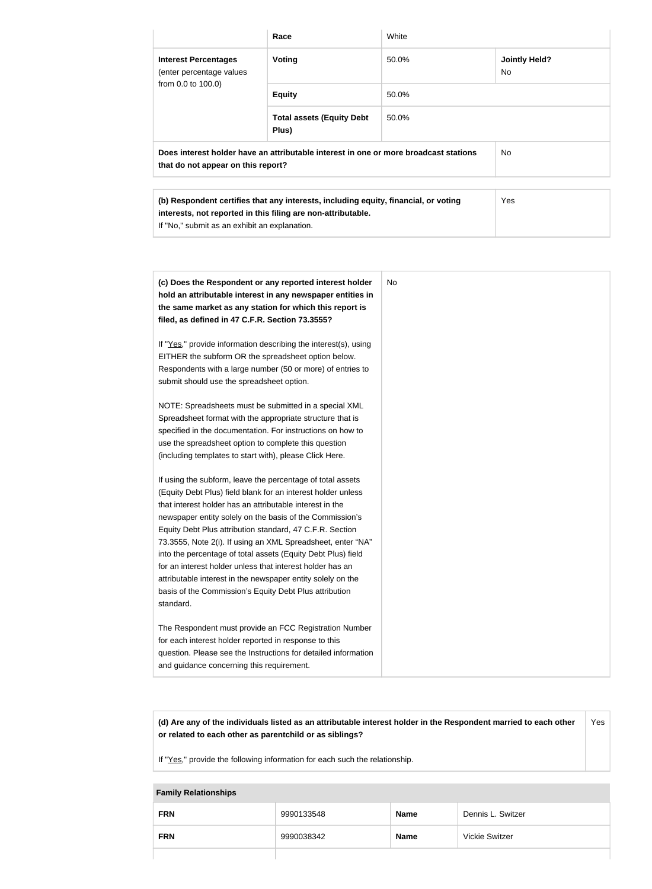|                                                                                                                            | Race                                                                                | White |                             |
|----------------------------------------------------------------------------------------------------------------------------|-------------------------------------------------------------------------------------|-------|-----------------------------|
| <b>Interest Percentages</b><br>(enter percentage values<br>from 0.0 to 100.0)                                              | <b>Voting</b>                                                                       | 50.0% | <b>Jointly Held?</b><br>No. |
|                                                                                                                            | <b>Equity</b>                                                                       | 50.0% |                             |
|                                                                                                                            | <b>Total assets (Equity Debt</b><br>Plus)                                           | 50.0% |                             |
| Does interest holder have an attributable interest in one or more broadcast stations<br>that do not appear on this report? |                                                                                     |       | No.                         |
|                                                                                                                            |                                                                                     |       |                             |
|                                                                                                                            | (b) Respondent certifies that any interests, including equity, financial, or voting |       | Yes                         |

| (b) Respondent certifies that any interests, including equity, financial, or voting | Yes |
|-------------------------------------------------------------------------------------|-----|
| interests, not reported in this filing are non-attributable.                        |     |
| If "No," submit as an exhibit an explanation.                                       |     |
|                                                                                     |     |

| (c) Does the Respondent or any reported interest holder<br>hold an attributable interest in any newspaper entities in<br>the same market as any station for which this report is<br>filed, as defined in 47 C.F.R. Section 73.3555?                                                                                                                                                                                                                                                                                                                                                                                                              | No |
|--------------------------------------------------------------------------------------------------------------------------------------------------------------------------------------------------------------------------------------------------------------------------------------------------------------------------------------------------------------------------------------------------------------------------------------------------------------------------------------------------------------------------------------------------------------------------------------------------------------------------------------------------|----|
| If "Yes," provide information describing the interest(s), using<br>EITHER the subform OR the spreadsheet option below.<br>Respondents with a large number (50 or more) of entries to<br>submit should use the spreadsheet option.                                                                                                                                                                                                                                                                                                                                                                                                                |    |
| NOTE: Spreadsheets must be submitted in a special XML<br>Spreadsheet format with the appropriate structure that is<br>specified in the documentation. For instructions on how to<br>use the spreadsheet option to complete this question<br>(including templates to start with), please Click Here.                                                                                                                                                                                                                                                                                                                                              |    |
| If using the subform, leave the percentage of total assets<br>(Equity Debt Plus) field blank for an interest holder unless<br>that interest holder has an attributable interest in the<br>newspaper entity solely on the basis of the Commission's<br>Equity Debt Plus attribution standard, 47 C.F.R. Section<br>73.3555, Note 2(i). If using an XML Spreadsheet, enter "NA"<br>into the percentage of total assets (Equity Debt Plus) field<br>for an interest holder unless that interest holder has an<br>attributable interest in the newspaper entity solely on the<br>basis of the Commission's Equity Debt Plus attribution<br>standard. |    |
| The Respondent must provide an FCC Registration Number<br>for each interest holder reported in response to this<br>question. Please see the Instructions for detailed information<br>and guidance concerning this requirement.                                                                                                                                                                                                                                                                                                                                                                                                                   |    |

**(d) Are any of the individuals listed as an attributable interest holder in the Respondent married to each other or related to each other as parentchild or as siblings?** Yes

If "Yes," provide the following information for each such the relationship.

#### **Family Relationships**

| <b>FRN</b> | 9990133548 | <b>Name</b> | Dennis L. Switzer     |
|------------|------------|-------------|-----------------------|
| <b>FRN</b> | 9990038342 | <b>Name</b> | <b>Vickie Switzer</b> |
|            |            |             |                       |